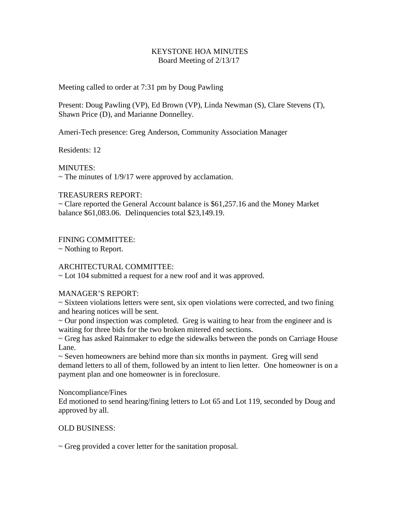### KEYSTONE HOA MINUTES Board Meeting of 2/13/17

Meeting called to order at 7:31 pm by Doug Pawling

Present: Doug Pawling (VP), Ed Brown (VP), Linda Newman (S), Clare Stevens (T), Shawn Price (D), and Marianne Donnelley.

Ameri-Tech presence: Greg Anderson, Community Association Manager

Residents: 12

MINUTES:

 $\sim$  The minutes of 1/9/17 were approved by acclamation.

## TREASURERS REPORT:

~ Clare reported the General Account balance is \$61,257.16 and the Money Market balance \$61,083.06. Delinquencies total \$23,149.19.

FINING COMMITTEE:

~ Nothing to Report.

# ARCHITECTURAL COMMITTEE:

~ Lot 104 submitted a request for a new roof and it was approved.

### MANAGER'S REPORT:

~ Sixteen violations letters were sent, six open violations were corrected, and two fining and hearing notices will be sent.

 $\sim$  Our pond inspection was completed. Greg is waiting to hear from the engineer and is waiting for three bids for the two broken mitered end sections.

~ Greg has asked Rainmaker to edge the sidewalks between the ponds on Carriage House Lane.

~ Seven homeowners are behind more than six months in payment. Greg will send demand letters to all of them, followed by an intent to lien letter. One homeowner is on a payment plan and one homeowner is in foreclosure.

### Noncompliance/Fines

Ed motioned to send hearing/fining letters to Lot 65 and Lot 119, seconded by Doug and approved by all.

# OLD BUSINESS:

~ Greg provided a cover letter for the sanitation proposal.